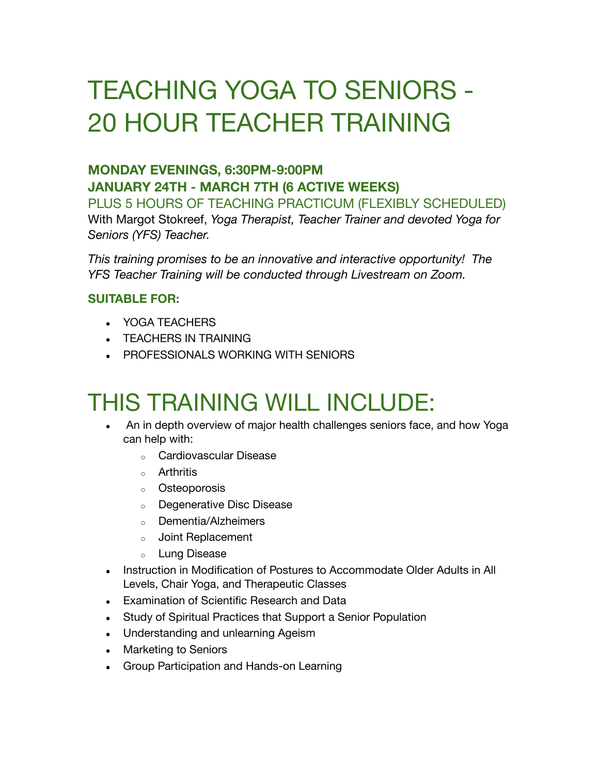# TEACHING YOGA TO SENIORS - 20 HOUR TEACHER TRAINING

### **MONDAY EVENINGS, 6:30PM-9:00PM JANUARY 24TH - MARCH 7TH (6 ACTIVE WEEKS)**

PLUS 5 HOURS OF TEACHING PRACTICUM (FLEXIBLY SCHEDULED) With Margot Stokreef, *Yoga Therapist, Teacher Trainer and devoted Yoga for Seniors (YFS) Teacher.*

*This training promises to be an innovative and interactive opportunity! The YFS Teacher Training will be conducted through Livestream on Zoom.*

#### **SUITABLE FOR:**

- YOGA TEACHERS
- **TEACHERS IN TRAINING**
- PROFESSIONALS WORKING WITH SENIORS

## THIS TRAINING WILL INCLUDE:

- An in depth overview of major health challenges seniors face, and how Yoga can help with:
	- <sup>o</sup> Cardiovascular Disease
	- <sup>o</sup> Arthritis
	- <sup>o</sup> Osteoporosis
	- <sup>o</sup> Degenerative Disc Disease
	- <sup>o</sup> Dementia/Alzheimers
	- <sup>o</sup> Joint Replacement
	- <sup>o</sup> Lung Disease
- Instruction in Modification of Postures to Accommodate Older Adults in All Levels, Chair Yoga, and Therapeutic Classes
- Examination of Scientific Research and Data
- Study of Spiritual Practices that Support a Senior Population
- Understanding and unlearning Ageism
- Marketing to Seniors
- Group Participation and Hands-on Learning